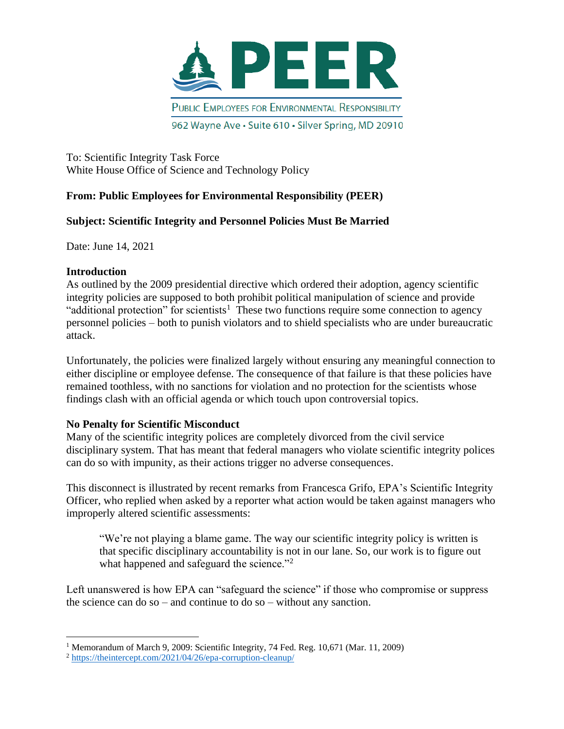

962 Wayne Ave · Suite 610 · Silver Spring, MD 20910

To: Scientific Integrity Task Force White House Office of Science and Technology Policy

# **From: Public Employees for Environmental Responsibility (PEER)**

# **Subject: Scientific Integrity and Personnel Policies Must Be Married**

Date: June 14, 2021

### **Introduction**

As outlined by the 2009 presidential directive which ordered their adoption, agency scientific integrity policies are supposed to both prohibit political manipulation of science and provide "additional protection" for scientists<sup>1</sup> These two functions require some connection to agency personnel policies – both to punish violators and to shield specialists who are under bureaucratic attack.

Unfortunately, the policies were finalized largely without ensuring any meaningful connection to either discipline or employee defense. The consequence of that failure is that these policies have remained toothless, with no sanctions for violation and no protection for the scientists whose findings clash with an official agenda or which touch upon controversial topics.

# **No Penalty for Scientific Misconduct**

Many of the scientific integrity polices are completely divorced from the civil service disciplinary system. That has meant that federal managers who violate scientific integrity polices can do so with impunity, as their actions trigger no adverse consequences.

This disconnect is illustrated by recent remarks from Francesca Grifo, EPA's Scientific Integrity Officer, who replied when asked by a reporter what action would be taken against managers who improperly altered scientific assessments:

"We're not playing a blame game. The way our scientific integrity policy is written is that specific disciplinary accountability is not in our lane. So, our work is to figure out what happened and safeguard the science."<sup>2</sup>

Left unanswered is how EPA can "safeguard the science" if those who compromise or suppress the science can do so – and continue to do so – without any sanction.

<sup>&</sup>lt;sup>1</sup> Memorandum of March 9, 2009: Scientific Integrity, 74 Fed. Reg. 10,671 (Mar. 11, 2009)

<sup>2</sup> <https://theintercept.com/2021/04/26/epa-corruption-cleanup/>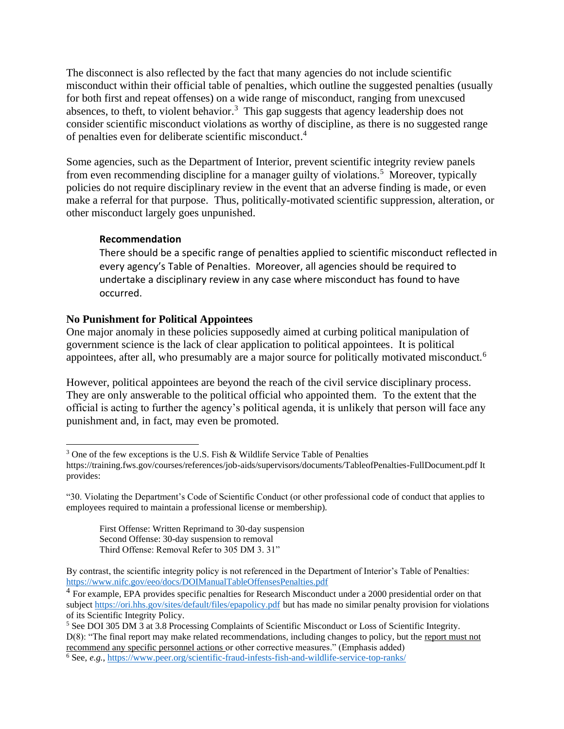The disconnect is also reflected by the fact that many agencies do not include scientific misconduct within their official table of penalties, which outline the suggested penalties (usually for both first and repeat offenses) on a wide range of misconduct, ranging from unexcused absences, to theft, to violent behavior.<sup>3</sup> This gap suggests that agency leadership does not consider scientific misconduct violations as worthy of discipline, as there is no suggested range of penalties even for deliberate scientific misconduct. 4

Some agencies, such as the Department of Interior, prevent scientific integrity review panels from even recommending discipline for a manager guilty of violations.<sup>5</sup> Moreover, typically policies do not require disciplinary review in the event that an adverse finding is made, or even make a referral for that purpose. Thus, politically-motivated scientific suppression, alteration, or other misconduct largely goes unpunished.

#### **Recommendation**

There should be a specific range of penalties applied to scientific misconduct reflected in every agency's Table of Penalties. Moreover, all agencies should be required to undertake a disciplinary review in any case where misconduct has found to have occurred.

### **No Punishment for Political Appointees**

One major anomaly in these policies supposedly aimed at curbing political manipulation of government science is the lack of clear application to political appointees. It is political appointees, after all, who presumably are a major source for politically motivated misconduct.<sup>6</sup>

However, political appointees are beyond the reach of the civil service disciplinary process. They are only answerable to the political official who appointed them. To the extent that the official is acting to further the agency's political agenda, it is unlikely that person will face any punishment and, in fact, may even be promoted.

<sup>&</sup>lt;sup>3</sup> One of the few exceptions is the U.S. Fish & Wildlife Service Table of Penalties

https://training.fws.gov/courses/references/job-aids/supervisors/documents/TableofPenalties-FullDocument.pdf It provides:

<sup>&</sup>quot;30. Violating the Department's Code of Scientific Conduct (or other professional code of conduct that applies to employees required to maintain a professional license or membership).

First Offense: Written Reprimand to 30-day suspension Second Offense: 30-day suspension to removal Third Offense: Removal Refer to 305 DM 3. 31"

By contrast, the scientific integrity policy is not referenced in the Department of Interior's Table of Penalties: <https://www.nifc.gov/eeo/docs/DOIManualTableOffensesPenalties.pdf>

<sup>&</sup>lt;sup>4</sup> For example, EPA provides specific penalties for Research Misconduct under a 2000 presidential order on that subject<https://ori.hhs.gov/sites/default/files/epapolicy.pdf> but has made no similar penalty provision for violations of its Scientific Integrity Policy.

<sup>&</sup>lt;sup>5</sup> See DOI 305 DM 3 at 3.8 Processing Complaints of Scientific Misconduct or Loss of Scientific Integrity. D(8): "The final report may make related recommendations, including changes to policy, but the report must not recommend any specific personnel actions or other corrective measures." (Emphasis added)

<sup>6</sup> See, *e.g.*[, https://www.peer.org/scientific-fraud-infests-fish-and-wildlife-service-top-ranks/](https://www.peer.org/scientific-fraud-infests-fish-and-wildlife-service-top-ranks/)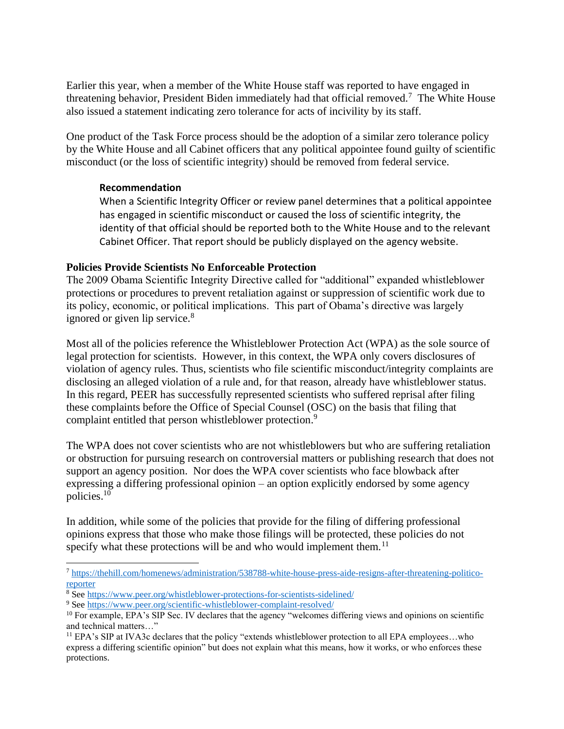Earlier this year, when a member of the White House staff was reported to have engaged in threatening behavior, President Biden immediately had that official removed.<sup>7</sup> The White House also issued a statement indicating zero tolerance for acts of incivility by its staff.

One product of the Task Force process should be the adoption of a similar zero tolerance policy by the White House and all Cabinet officers that any political appointee found guilty of scientific misconduct (or the loss of scientific integrity) should be removed from federal service.

### **Recommendation**

When a Scientific Integrity Officer or review panel determines that a political appointee has engaged in scientific misconduct or caused the loss of scientific integrity, the identity of that official should be reported both to the White House and to the relevant Cabinet Officer. That report should be publicly displayed on the agency website.

#### **Policies Provide Scientists No Enforceable Protection**

The 2009 Obama Scientific Integrity Directive called for "additional" expanded whistleblower protections or procedures to prevent retaliation against or suppression of scientific work due to its policy, economic, or political implications. This part of Obama's directive was largely ignored or given lip service.<sup>8</sup>

Most all of the policies reference the Whistleblower Protection Act (WPA) as the sole source of legal protection for scientists. However, in this context, the WPA only covers disclosures of violation of agency rules. Thus, scientists who file scientific misconduct/integrity complaints are disclosing an alleged violation of a rule and, for that reason, already have whistleblower status. In this regard, PEER has successfully represented scientists who suffered reprisal after filing these complaints before the Office of Special Counsel (OSC) on the basis that filing that complaint entitled that person whistleblower protection.<sup>9</sup>

The WPA does not cover scientists who are not whistleblowers but who are suffering retaliation or obstruction for pursuing research on controversial matters or publishing research that does not support an agency position. Nor does the WPA cover scientists who face blowback after expressing a differing professional opinion – an option explicitly endorsed by some agency policies. 10

In addition, while some of the policies that provide for the filing of differing professional opinions express that those who make those filings will be protected, these policies do not specify what these protections will be and who would implement them.<sup>11</sup>

<sup>7</sup> [https://thehill.com/homenews/administration/538788-white-house-press-aide-resigns-after-threatening-politico](https://thehill.com/homenews/administration/538788-white-house-press-aide-resigns-after-threatening-politico-reporter)[reporter](https://thehill.com/homenews/administration/538788-white-house-press-aide-resigns-after-threatening-politico-reporter)

<sup>8</sup> Se[e https://www.peer.org/whistleblower-protections-for-scientists-sidelined/](https://www.peer.org/whistleblower-protections-for-scientists-sidelined/)

<sup>9</sup> Se[e https://www.peer.org/scientific-whistleblower-complaint-resolved/](https://www.peer.org/scientific-whistleblower-complaint-resolved/)

<sup>&</sup>lt;sup>10</sup> For example, EPA's SIP Sec. IV declares that the agency "welcomes differing views and opinions on scientific and technical matters…"

<sup>&</sup>lt;sup>11</sup> EPA's SIP at IVA3c declares that the policy "extends whistleblower protection to all EPA employees...who express a differing scientific opinion" but does not explain what this means, how it works, or who enforces these protections.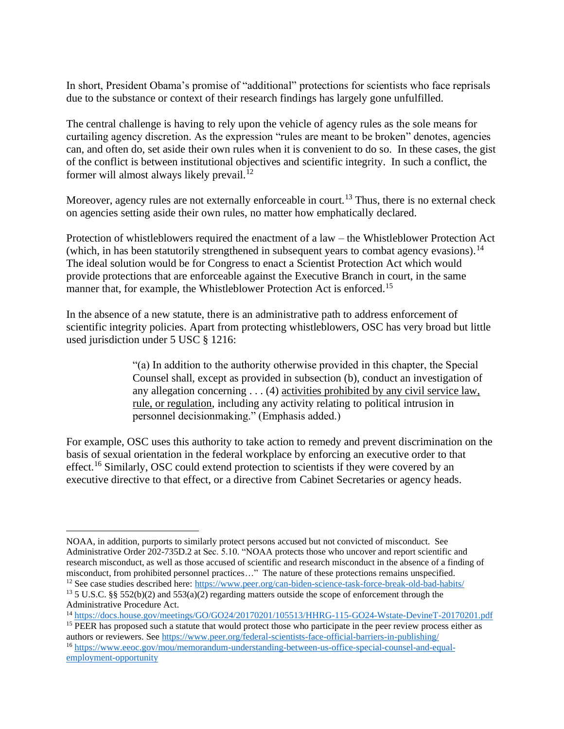In short, President Obama's promise of "additional" protections for scientists who face reprisals due to the substance or context of their research findings has largely gone unfulfilled.

The central challenge is having to rely upon the vehicle of agency rules as the sole means for curtailing agency discretion. As the expression "rules are meant to be broken" denotes, agencies can, and often do, set aside their own rules when it is convenient to do so. In these cases, the gist of the conflict is between institutional objectives and scientific integrity. In such a conflict, the former will almost always likely prevail.<sup>12</sup>

Moreover, agency rules are not externally enforceable in court.<sup>13</sup> Thus, there is no external check on agencies setting aside their own rules, no matter how emphatically declared.

Protection of whistleblowers required the enactment of a law – the Whistleblower Protection Act (which, in has been statutorily strengthened in subsequent years to combat agency evasions).<sup>14</sup> The ideal solution would be for Congress to enact a Scientist Protection Act which would provide protections that are enforceable against the Executive Branch in court, in the same manner that, for example, the Whistleblower Protection Act is enforced.<sup>15</sup>

In the absence of a new statute, there is an administrative path to address enforcement of scientific integrity policies. Apart from protecting whistleblowers, OSC has very broad but little used jurisdiction under 5 USC § 1216:

> "(a) In addition to the authority otherwise provided in this chapter, the Special Counsel shall, except as provided in subsection (b), conduct an investigation of any allegation concerning . . . (4) activities prohibited by any civil service law, rule, or regulation, including any activity relating to political intrusion in personnel decisionmaking." (Emphasis added.)

For example, OSC uses this authority to take action to remedy and prevent discrimination on the basis of sexual orientation in the federal workplace by enforcing an executive order to that effect.<sup>16</sup> Similarly, OSC could extend protection to scientists if they were covered by an executive directive to that effect, or a directive from Cabinet Secretaries or agency heads.

NOAA, in addition, purports to similarly protect persons accused but not convicted of misconduct. See Administrative Order 202-735D.2 at Sec. 5.10. "NOAA protects those who uncover and report scientific and research misconduct, as well as those accused of scientific and research misconduct in the absence of a finding of misconduct, from prohibited personnel practices…" The nature of these protections remains unspecified. <sup>12</sup> See case studies described here:<https://www.peer.org/can-biden-science-task-force-break-old-bad-habits/>

<sup>&</sup>lt;sup>13</sup> 5 U.S.C. §§ 552(b)(2) and 553(a)(2) regarding matters outside the scope of enforcement through the Administrative Procedure Act.

<sup>14</sup> <https://docs.house.gov/meetings/GO/GO24/20170201/105513/HHRG-115-GO24-Wstate-DevineT-20170201.pdf>

<sup>&</sup>lt;sup>15</sup> PEER has proposed such a statute that would protect those who participate in the peer review process either as authors or reviewers. Se[e https://www.peer.org/federal-scientists-face-official-barriers-in-publishing/](https://www.peer.org/federal-scientists-face-official-barriers-in-publishing/) <sup>16</sup> [https://www.eeoc.gov/mou/memorandum-understanding-between-us-office-special-counsel-and-equal](https://www.eeoc.gov/mou/memorandum-understanding-between-us-office-special-counsel-and-equal-employment-opportunity)[employment-opportunity](https://www.eeoc.gov/mou/memorandum-understanding-between-us-office-special-counsel-and-equal-employment-opportunity)